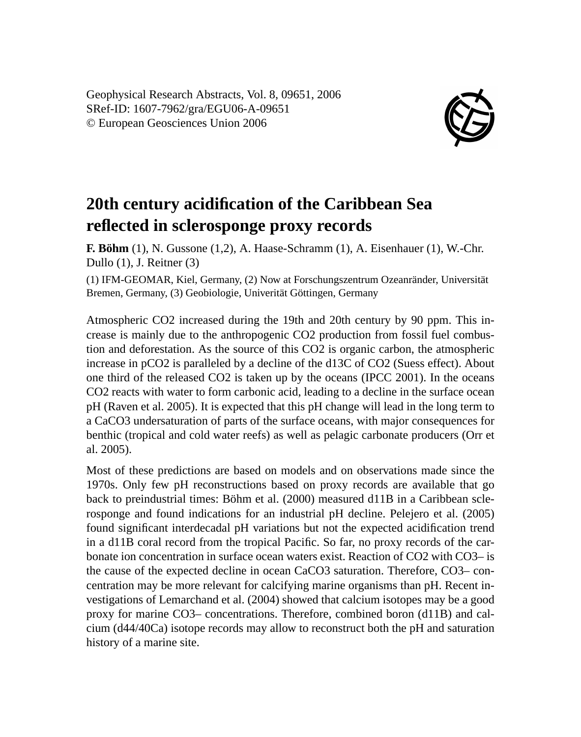Geophysical Research Abstracts, Vol. 8, 09651, 2006 SRef-ID: 1607-7962/gra/EGU06-A-09651 © European Geosciences Union 2006



## **20th century acidification of the Caribbean Sea reflected in sclerosponge proxy records**

**F. Böhm** (1), N. Gussone (1,2), A. Haase-Schramm (1), A. Eisenhauer (1), W.-Chr. Dullo (1), J. Reitner (3)

(1) IFM-GEOMAR, Kiel, Germany, (2) Now at Forschungszentrum Ozeanränder, Universität Bremen, Germany, (3) Geobiologie, Univerität Göttingen, Germany

Atmospheric CO2 increased during the 19th and 20th century by 90 ppm. This increase is mainly due to the anthropogenic CO2 production from fossil fuel combustion and deforestation. As the source of this CO2 is organic carbon, the atmospheric increase in pCO2 is paralleled by a decline of the d13C of CO2 (Suess effect). About one third of the released CO2 is taken up by the oceans (IPCC 2001). In the oceans CO2 reacts with water to form carbonic acid, leading to a decline in the surface ocean pH (Raven et al. 2005). It is expected that this pH change will lead in the long term to a CaCO3 undersaturation of parts of the surface oceans, with major consequences for benthic (tropical and cold water reefs) as well as pelagic carbonate producers (Orr et al. 2005).

Most of these predictions are based on models and on observations made since the 1970s. Only few pH reconstructions based on proxy records are available that go back to preindustrial times: Böhm et al. (2000) measured d11B in a Caribbean sclerosponge and found indications for an industrial pH decline. Pelejero et al. (2005) found significant interdecadal pH variations but not the expected acidification trend in a d11B coral record from the tropical Pacific. So far, no proxy records of the carbonate ion concentration in surface ocean waters exist. Reaction of CO2 with CO3– is the cause of the expected decline in ocean CaCO3 saturation. Therefore, CO3– concentration may be more relevant for calcifying marine organisms than pH. Recent investigations of Lemarchand et al. (2004) showed that calcium isotopes may be a good proxy for marine CO3– concentrations. Therefore, combined boron (d11B) and calcium (d44/40Ca) isotope records may allow to reconstruct both the pH and saturation history of a marine site.